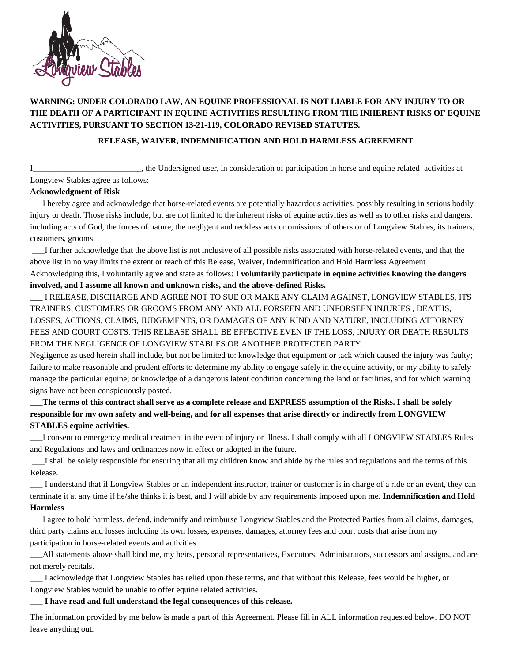

# **WARNING: UNDER COLORADO LAW, AN EQUINE PROFESSIONAL IS NOT LIABLE FOR ANY INJURY TO OR THE DEATH OF A PARTICIPANT IN EQUINE ACTIVITIES RESULTING FROM THE INHERENT RISKS OF EQUINE ACTIVITIES, PURSUANT TO SECTION 13-21-119, COLORADO REVISED STATUTES.**

### **RELEASE, WAIVER, INDEMNIFICATION AND HOLD HARMLESS AGREEMENT**

I\_\_\_\_\_\_\_\_\_\_\_\_\_\_\_\_\_\_\_\_\_\_\_\_\_\_, the Undersigned user, in consideration of participation in horse and equine related activities at

#### Longview Stables agree as follows:

#### **Acknowledgment of Risk**

\_\_\_I hereby agree and acknowledge that horse-related events are potentially hazardous activities, possibly resulting in serious bodily injury or death. Those risks include, but are not limited to the inherent risks of equine activities as well as to other risks and dangers, including acts of God, the forces of nature, the negligent and reckless acts or omissions of others or of Longview Stables, its trainers, customers, grooms.

 \_\_\_I further acknowledge that the above list is not inclusive of all possible risks associated with horse-related events, and that the above list in no way limits the extent or reach of this Release, Waiver, Indemnification and Hold Harmless Agreement

Acknowledging this, I voluntarily agree and state as follows: **I voluntarily participate in equine activities knowing the dangers involved, and I assume all known and unknown risks, and the above-defined Risks.** 

**\_\_\_** I RELEASE, DISCHARGE AND AGREE NOT TO SUE OR MAKE ANY CLAIM AGAINST, LONGVIEW STABLES, ITS TRAINERS, CUSTOMERS OR GROOMS FROM ANY AND ALL FORSEEN AND UNFORSEEN INJURIES , DEATHS, LOSSES, ACTIONS, CLAIMS, JUDGEMENTS, OR DAMAGES OF ANY KIND AND NATURE, INCLUDING ATTORNEY FEES AND COURT COSTS. THIS RELEASE SHALL BE EFFECTIVE EVEN IF THE LOSS, INJURY OR DEATH RESULTS FROM THE NEGLIGENCE OF LONGVIEW STABLES OR ANOTHER PROTECTED PARTY.

Negligence as used herein shall include, but not be limited to: knowledge that equipment or tack which caused the injury was faulty; failure to make reasonable and prudent efforts to determine my ability to engage safely in the equine activity, or my ability to safely manage the particular equine; or knowledge of a dangerous latent condition concerning the land or facilities, and for which warning signs have not been conspicuously posted.

## **\_\_\_The terms of this contract shall serve as a complete release and EXPRESS assumption of the Risks. I shall be solely responsible for my own safety and well-being, and for all expenses that arise directly or indirectly from LONGVIEW STABLES equine activities.**

\_\_\_I consent to emergency medical treatment in the event of injury or illness. I shall comply with all LONGVIEW STABLES Rules and Regulations and laws and ordinances now in effect or adopted in the future.

 \_\_\_I shall be solely responsible for ensuring that all my children know and abide by the rules and regulations and the terms of this Release.

\_\_\_ I understand that if Longview Stables or an independent instructor, trainer or customer is in charge of a ride or an event, they can terminate it at any time if he/she thinks it is best, and I will abide by any requirements imposed upon me. **Indemnification and Hold Harmless** 

\_\_\_I agree to hold harmless, defend, indemnify and reimburse Longview Stables and the Protected Parties from all claims, damages, third party claims and losses including its own losses, expenses, damages, attorney fees and court costs that arise from my participation in horse-related events and activities.

\_\_\_All statements above shall bind me, my heirs, personal representatives, Executors, Administrators, successors and assigns, and are not merely recitals.

\_\_\_ I acknowledge that Longview Stables has relied upon these terms, and that without this Release, fees would be higher, or Longview Stables would be unable to offer equine related activities.

\_\_\_ **I have read and full understand the legal consequences of this release.** 

The information provided by me below is made a part of this Agreement. Please fill in ALL information requested below. DO NOT leave anything out.